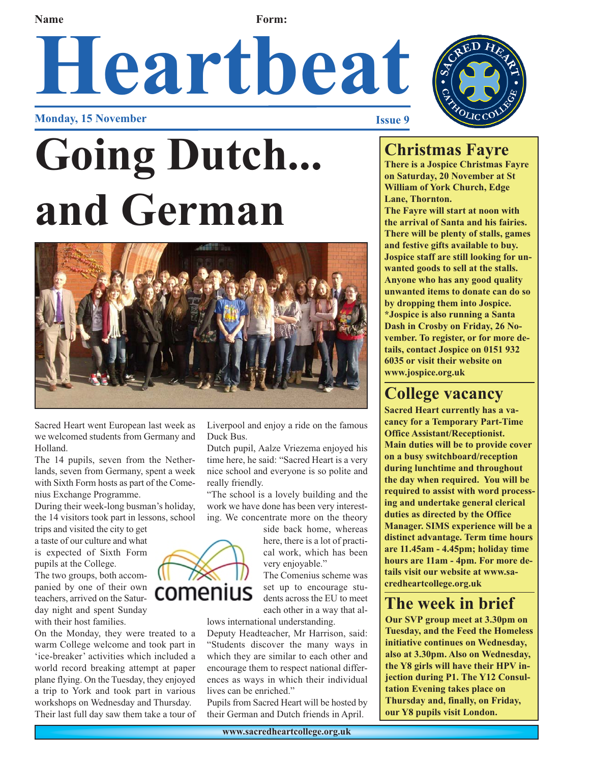**Name Form:** 

# Heartbeat

**Monday, 15 November** 





Sacred Heart went European last week as we welcomed students from Germany and Holland.

The 14 pupils, seven from the Netherlands, seven from Germany, spent a week with Sixth Form hosts as part of the Comenius Exchange Programme.

During their week-long busman's holiday, the 14 visitors took part in lessons, school

trips and visited the city to get a taste of our culture and what is expected of Sixth Form pupils at the College. The two groups, both accompanied by one of their own teachers, arrived on the Saturday night and spent Sunday with their host families.

On the Monday, they were treated to a warm College welcome and took part in 'ice-breaker' activities which included a world record breaking attempt at paper plane flying. On the Tuesday, they enjoyed a trip to York and took part in various workshops on Wednesday and Thursday. Their last full day saw them take a tour of Liverpool and enjoy a ride on the famous Duck Bus.

Dutch pupil, Aalze Vriezema enjoyed his time here, he said: "Sacred Heart is a very nice school and everyone is so polite and really friendly.

"The school is a lovely building and the work we have done has been very interesting. We concentrate more on the theory

> side back home, whereas here, there is a lot of practical work, which has been very enjoyable."

The Comenius scheme was set up to encourage students across the EU to meet each other in a way that al-

lows international understanding.

Deputy Headteacher, Mr Harrison, said: "Students discover the many ways in which they are similar to each other and encourage them to respect national differences as ways in which their individual lives can be enriched."

Pupils from Sacred Heart will be hosted by their German and Dutch friends in April.

#### **Christmas Fayre**

**There is a Jospice Christmas Fayre on Saturday, 20 November at St William of York Church, Edge Lane, Thornton. The Fayre will start at noon with the arrival of Santa and his fairies.**

**There will be plenty of stalls, games and festive gifts available to buy. Jospice staff are still looking for unwanted goods to sell at the stalls. Anyone who has any good quality unwanted items to donate can do so by dropping them into Jospice. \*Jospice is also running a Santa Dash in Crosby on Friday, 26 November. To register, or for more details, contact Jospice on 0151 932 6035 or visit their website on www.jospice.org.uk**

### **College vacancy**

**Sacred Heart currently has a vacancy for a Temporary Part-Time Office Assistant/Receptionist. Main duties will be to provide cover on a busy switchboard/reception during lunchtime and throughout the day when required. You will be required to assist with word processing and undertake general clerical duties as directed by the Office Manager. SIMS experience will be a distinct advantage. Term time hours are 11.45am - 4.45pm; holiday time hours are 11am - 4pm. For more details visit our website at www.sacredheartcollege.org.uk**

#### **The week in brief**

**Our SVP group meet at 3.30pm on Tuesday, and the Feed the Homeless initiative continues on Wednesday, also at 3.30pm. Also on Wednesday, the Y8 girls will have their HPV injection during P1. The Y12 Consultation Evening takes place on Thursday and, finally, on Friday, our Y8 pupils visit London.** 



**www.sacredheartcollege.org.uk**